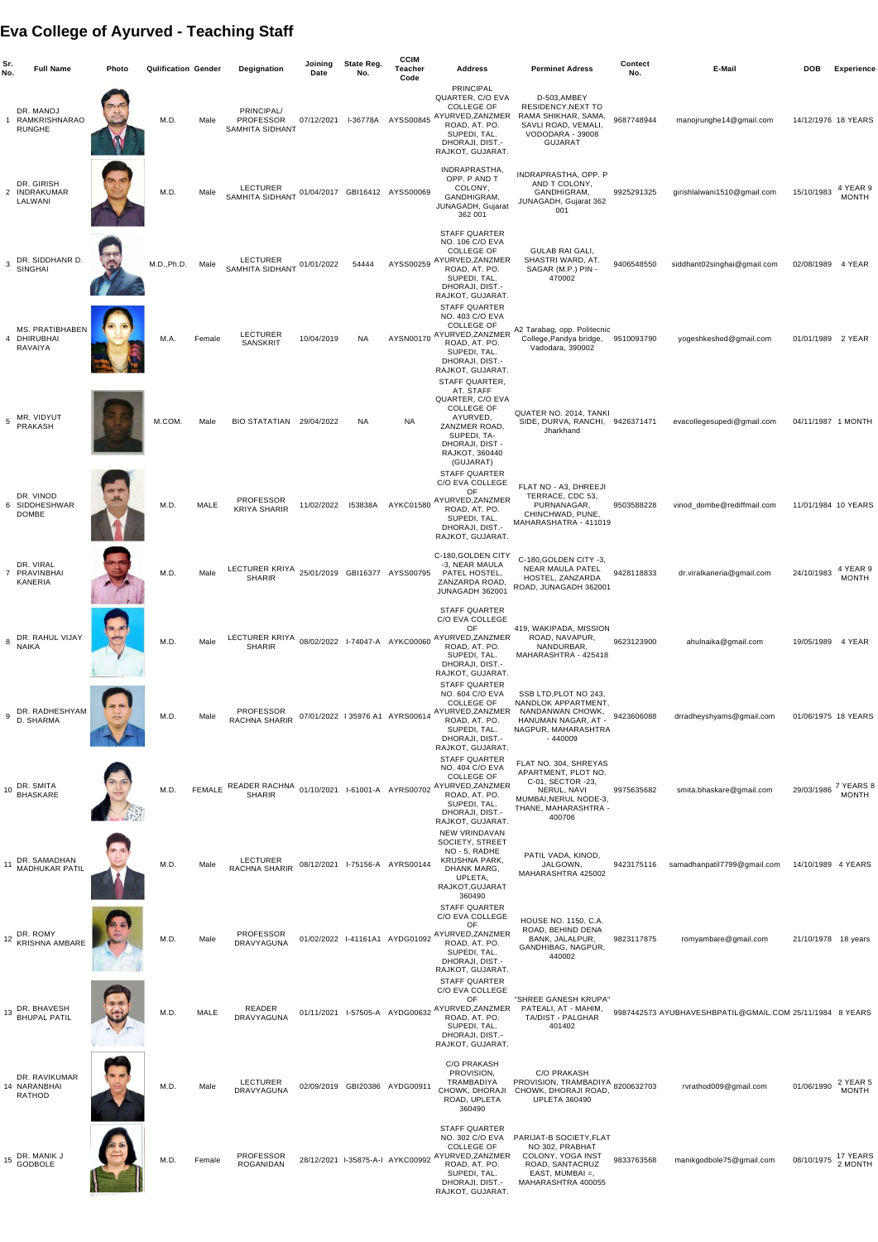## **Eva College of Ayurved - Teaching Staff**

| Sr.<br>No.   | <b>Full Name</b>                                        | <b>Photo</b> | <b>Qulification Gender</b> |               | Degignation                                                   | Joining<br><b>Date</b> | <b>State Reg.</b><br>No. | <b>CCIM</b><br><b>Teacher</b><br>Code | <b>Address</b>                                                                                                                                                                          | <b>Perminet Adress</b>                                                                                                                      | <b>Contect</b><br>No. | E-Mail                                                   | <b>DOB</b>          | <b>Experience</b>         |
|--------------|---------------------------------------------------------|--------------|----------------------------|---------------|---------------------------------------------------------------|------------------------|--------------------------|---------------------------------------|-----------------------------------------------------------------------------------------------------------------------------------------------------------------------------------------|---------------------------------------------------------------------------------------------------------------------------------------------|-----------------------|----------------------------------------------------------|---------------------|---------------------------|
|              | DR. MANOJ<br>RAMKRISHNARAO<br><b>RUNGHE</b>             |              | M.D.                       | Male          | PRINCIPAL/<br><b>PROFESSOR</b><br><b>SAMHITA SIDHANT</b>      | 07/12/2021             | I-36778A                 | AYSS00845                             | <b>PRINCIPAL</b><br>QUARTER, C/O EVA<br><b>COLLEGE OF</b><br>AYURVED, ZANZMER<br>ROAD, AT. PO.<br>SUPEDI, TAL.<br>DHORAJI, DIST.-<br>RAJKOT, GUJARAT.                                   | D-503, AMBEY<br><b>RESIDENCY, NEXT TO</b><br>RAMA SHIKHAR, SAMA,<br>SAVLI ROAD, VEMALI,<br>VODODARA - 39008<br><b>GUJARAT</b>               | 9687748944            | manojrunghe14@gmail.com                                  | 14/12/1976 18 YEARS |                           |
|              | DR. GIRISH<br>2 INDRAKUMAR<br>LALWANI                   |              | M.D.                       | Male          | <b>LECTURER</b><br><b>SAMHITA SIDHANT</b>                     |                        |                          | 01/04/2017 GBI16412 AYSS00069         | INDRAPRASTHA,<br>OPP. P AND T<br>COLONY,<br>GANDHIGRAM,<br>JUNAGADH, Gujarat<br>362 001                                                                                                 | INDRAPRASTHA, OPP. P<br>AND T COLONY,<br>GANDHIGRAM,<br>JUNAGADH, Gujarat 362<br>001                                                        | 9925291325            | girishlalwani1510@gmail.com                              | 15/10/1983          | 4 YEAR 9<br><b>MONTH</b>  |
| $\mathbf{3}$ | DR. SIDDHANR D.<br>SINGHAI                              |              | M.D., Ph.D.                | Male          | <b>LECTURER</b><br><b>SAMHITA SIDHANT</b>                     | 01/01/2022             | 54444                    | AYSS00259                             | <b>STAFF QUARTER</b><br>NO. 106 C/O EVA<br><b>COLLEGE OF</b><br>AYURVED, ZANZMER<br>ROAD, AT. PO.<br>SUPEDI, TAL.<br>DHORAJI, DIST.-<br>RAJKOT, GUJARAT.                                | <b>GULAB RAI GALI,</b><br>SHASTRI WARD, AT<br>SAGAR (M.P.) PIN -<br>470002                                                                  | 9406548550            | siddhant02singhai@gmail.com                              | 02/08/1989          | 4 YEAR                    |
|              | <b>MS. PRATIBHABEN</b><br>4 DHIRUBHAI<br><b>RAVAIYA</b> |              | M.A.                       | Female        | <b>LECTURER</b><br><b>SANSKRIT</b>                            | 10/04/2019             | <b>NA</b>                | AYSN00170                             | <b>STAFF QUARTER</b><br>NO. 403 C/O EVA<br><b>COLLEGE OF</b><br>AYURVED, ZANZMER<br>ROAD, AT. PO.<br>SUPEDI, TAL.<br>DHORAJI, DIST.-<br>RAJKOT, GUJARAT.                                | A2 Tarabag, opp. Politecnic<br>College, Pandya bridge,<br>Vadodara, 390002                                                                  | 9510093790            | yogeshkeshod@gmail.com                                   | 01/01/1989 2 YEAR   |                           |
|              | MR. VIDYUT<br>PRAKASH                                   |              | M.COM.                     | Male          | BIO STATATIAN 29/04/2022                                      |                        | NA.                      | <b>NA</b>                             | <b>STAFF QUARTER,</b><br>AT. STAFF<br>QUARTER, C/O EVA<br><b>COLLEGE OF</b><br>AYURVED,<br>ZANZMER ROAD<br>SUPEDI, TA-<br>DHORAJI, DIST -<br>RAJKOT, 360440                             | QUATER NO. 2014, TANKI<br>SIDE, DURVA, RANCHI,<br>Jharkhand                                                                                 | 9426371471            | evacollegesupedi@gmail.com                               | 04/11/1987 1 MONTH  |                           |
|              | DR. VINOD<br>6 SIDDHESHWAR<br><b>DOMBE</b>              |              | M.D.                       | <b>MALE</b>   | <b>PROFESSOR</b><br><b>KRIYA SHARIR</b>                       | 11/02/2022             | <b>I53838A</b>           | AYKC01580                             | (GUJARAT)<br><b>STAFF QUARTER</b><br>C/O EVA COLLEGE<br>OF<br>AYURVED, ZANZMER<br>ROAD, AT. PO.<br>SUPEDI, TAL.<br>DHORAJI, DIST.-<br>RAJKOT, GUJARAT.                                  | FLAT NO - A3, DHREEJI<br>TERRACE, CDC 53,<br>PURNANAGAR,<br>CHINCHWAD, PUNE,<br>MAHARASHATRA - 411019                                       | 9503588228            | vinod_dombe@rediffmail.com                               | 11/01/1984 10 YEARS |                           |
|              | DR. VIRAL<br>7 PRAVINBHAI<br><b>KANERIA</b>             |              | M.D.                       | Male          | LECTURER KRIYA 25/01/2019 GBI16377 AYSS00795<br><b>SHARIR</b> |                        |                          |                                       | C-180, GOLDEN CITY<br>-3, NEAR MAULA<br>PATEL HOSTEL,<br>ZANZARDA ROAD,<br>JUNAGADH 362001                                                                                              | C-180, GOLDEN CITY -3,<br><b>NEAR MAULA PATEL</b><br>HOSTEL, ZANZARDA<br>ROAD, JUNAGADH 362001                                              | 9428118833            | dr.viralkaneria@gmail.com                                | 24/10/1983          | 4 YEAR 9<br><b>MONTH</b>  |
| 8            | DR. RAHUL VIJAY<br><b>NAIKA</b>                         |              | M.D.                       | Male          | LECTURER KRIYA<br><b>SHARIR</b>                               |                        |                          | 08/02/2022 I-74047-A AYKC00060        | <b>STAFF QUARTER</b><br>C/O EVA COLLEGE<br>OF<br>AYURVED, ZANZMER<br>ROAD, AT. PO.<br>SUPEDI, TAL.<br>DHORAJI, DIST.-<br>RAJKOT, GUJARAT.                                               | 419, WAKIPADA, MISSION<br>ROAD, NAVAPUR,<br>NANDURBAR,<br>MAHARASHTRA - 425418                                                              | 9623123900            | ahulnaika@gmail.com                                      | 19/05/1989 4 YEAR   |                           |
|              | DR. RADHESHYAM<br>D. SHARMA                             | $\sqrt{a}$   | M.D.                       | Male          | <b>PROFESSOR</b><br>RACHNA SHARIR                             |                        |                          |                                       | <b>STAFF QUARTER</b><br>NO. 604 C/O EVA<br><b>COLLEGE OF</b><br>07/01/2022 135976 A1 AYRS00614 AYURVED, ZANZMER<br>ROAD, AT. PO.<br>SUPEDI, TAL.<br>DHORAJI, DIST.-<br>RAJKOT, GUJARAT. | SSB LTD, PLOT NO 243,<br>NANDLOK APPARTMENT<br>NANDANWAN CHOWK,<br>HANUMAN NAGAR, AT -<br>NAGPUR, MAHARASHTRA<br>$-440009$                  | 9423606088            | drradheyshyams@gmail.com                                 | 01/06/1975 18 YEARS |                           |
|              | 10 DR. SMITA<br>BHASKARE                                |              | M.D.                       | <b>FEMALE</b> | READER RACHNA 01/10/2021 I-61001-A AYRS00702<br><b>SHARIR</b> |                        |                          |                                       | <b>STAFF QUARTER</b><br>NO. 404 C/O EVA<br><b>COLLEGE OF</b><br>AYURVED, ZANZMER<br>ROAD, AT. PO.<br>SUPEDI, TAL.<br>DHORAJI, DIST.-<br>RAJKOT, GUJARAT.                                | FLAT NO. 304, SHREYAS<br>APARTMENT, PLOT NO.<br>C-01, SECTOR -23,<br>NERUL, NAVI<br>MUMBAI, NERUL NODE-3,<br>THANE, MAHARASHTRA -<br>400706 | 9975635682            | smita.bhaskare@gmail.com                                 | 29/03/1986          | 7 YEARS 8<br><b>MONTH</b> |
|              | DR. SAMADHAN<br><b>MADHUKAR PATIL</b>                   |              | M.D.                       | Male          | <b>LECTURER</b><br><b>RACHNA SHARIR</b>                       |                        |                          | 08/12/2021 I-75156-A AYRS00144        | <b>NEW VRINDAVAN</b><br>SOCIETY, STREET<br>NO - 5, RADHE<br><b>KRUSHNA PARK,</b><br>DHANK MARG,<br>UPLETA,<br>RAJKOT, GUJARAT<br>360490                                                 | PATIL VADA, KINOD,<br>JALGOWN,<br>MAHARASHTRA 425002                                                                                        | 9423175116            | samadhanpatil7799@gmail.com                              | 14/10/1989 4 YEARS  |                           |
|              | $12$ DR. ROMY<br><b>KRISHNA AMBARE</b>                  |              | M.D.                       | Male          | <b>PROFESSOR</b><br><b>DRAVYAGUNA</b>                         |                        |                          | 01/02/2022 I-41161A1 AYDG01092        | <b>STAFF QUARTER</b><br>C/O EVA COLLEGE<br>OF<br>AYURVED, ZANZMER<br>ROAD, AT. PO.<br>SUPEDI, TAL.<br>DHORAJI, DIST.-<br>RAJKOT, GUJARAT.                                               | <b>HOUSE NO. 1150, C.A.</b><br>ROAD, BEHIND DENA<br>BANK, JALALPUR,<br>GANDHIBAG, NAGPUR,<br>440002                                         | 9823117875            | romyambare@gmail.com                                     | 21/10/1978 18 years |                           |
|              | 13 DR. BHAVESH<br>BHUPAL PATIL                          |              | M.D.                       | <b>MALE</b>   | <b>READER</b><br>DRAVYAGUNA                                   | 01/11/2021             |                          |                                       | <b>STAFF QUARTER</b><br>C/O EVA COLLEGE<br>OF<br>I-57505-A AYDG00632 AYURVED,ZANZMER<br>ROAD, AT. PO.<br>SUPEDI, TAL.<br>DHORAJI, DIST.-<br>RAJKOT, GUJARAT.                            | "SHREE GANESH KRUPA"<br>PATEALI, AT - MAHIM,<br>TA/DIST - PALGHAR<br>401402                                                                 |                       | 9987442573 AYUBHAVESHBPATIL@GMAIL.COM 25/11/1984 8 YEARS |                     |                           |
|              | DR. RAVIKUMAR<br>14 NARANBHAI<br><b>RATHOD</b>          |              | M.D.                       | Male          | <b>LECTURER</b><br>DRAVYAGUNA                                 |                        |                          | 02/09/2019 GBI20386 AYDG00911         | <b>C/O PRAKASH</b><br>PROVISION,<br>TRAMBADIYA<br>CHOWK, DHORAJI<br>ROAD, UPLETA<br>360490                                                                                              | <b>C/O PRAKASH</b><br>PROVISION, TRAMBADIYA 8200632703<br>CHOWK, DHORAJI ROAD,<br><b>UPLETA 360490</b>                                      |                       | rvrathod009@gmail.com                                    | 01/06/1990          | 2 YEAR 5<br><b>MONTH</b>  |
|              | 15 DR. MANIK J<br>GODBOLE                               |              | M.D.                       | Female        | <b>PROFESSOR</b><br><b>ROGANIDAN</b>                          |                        |                          | 28/12/2021 I-35875-A-I AYKC00992      | <b>STAFF QUARTER</b><br>NO. 302 C/O EVA<br><b>COLLEGE OF</b><br>AYURVED, ZANZMER<br>ROAD, AT. PO.<br>SUPEDI, TAL.<br>DHORAJI, DIST.-<br>RAJKOT, GUJARAT.                                | PARIJAT-B SOCIETY, FLAT<br>NO 302, PRABHAT<br>COLONY, YOGA INST<br>ROAD, SANTACRUZ<br>EAST, MUMBAI $=$ ,<br>MAHARASHTRA 400055              | 9833763568            | manikgodbole75@gmail.com                                 | 08/10/1975          | 17 YEARS<br>2 MONTH       |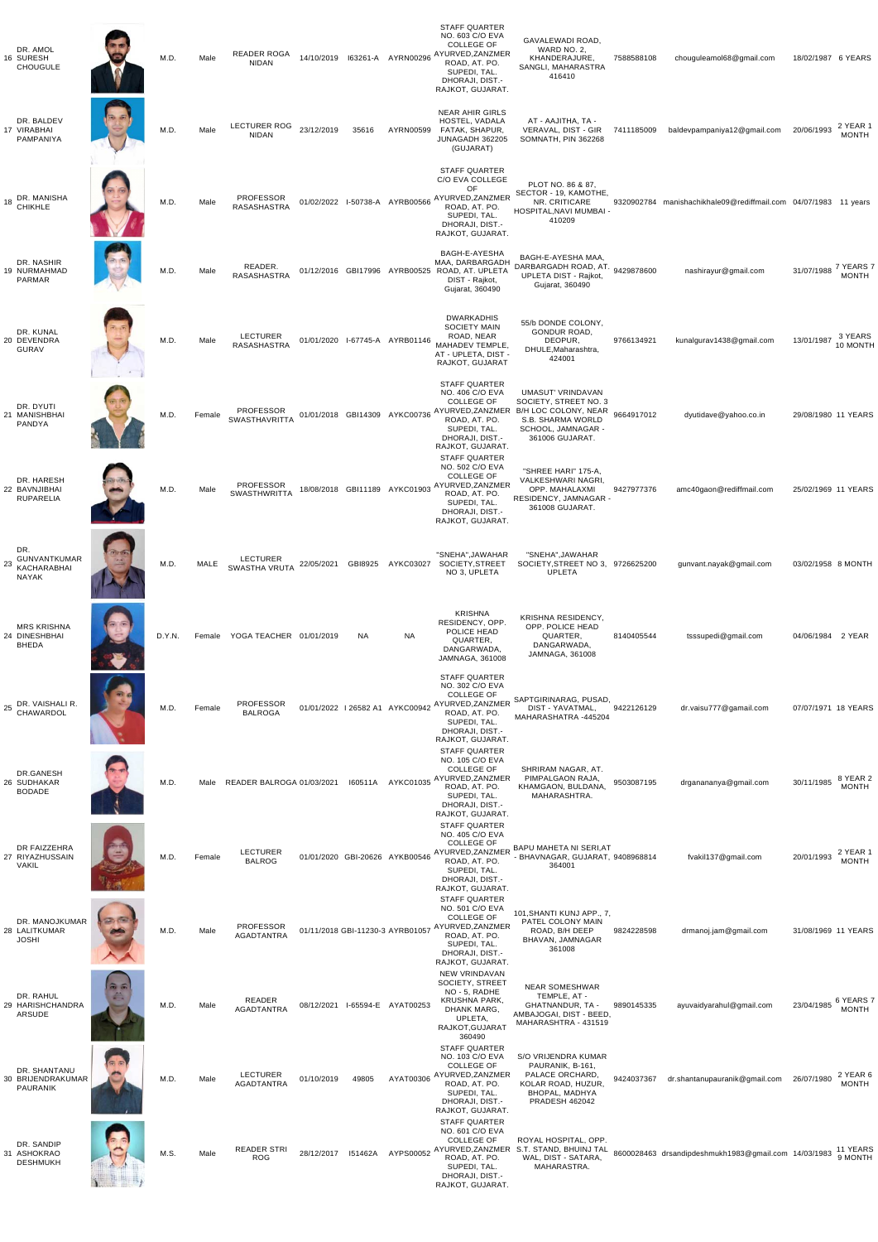| DR. AMOL<br>16 SURESH<br><b>CHOUGULE</b>                        |                       | M.D.   | Male        | <b>READER ROGA</b><br><b>NIDAN</b>       | 14/10/2019 |                                 | 163261-A AYRN00296              | <b>STAFF QUARTER</b><br>NO. 603 C/O EVA<br><b>COLLEGE OF</b><br>AYURVED, ZANZMER<br>ROAD, AT. PO.<br>SUPEDI, TAL.<br>DHORAJI, DIST.-<br>RAJKOT, GUJARAT. | GAVALEWADI ROAD,<br>WARD NO. 2,<br>KHANDERAJURE,<br>SANGLI, MAHARASTRA<br>416410                                                   | 7588588108 | chouguleamol68@gmail.com                             | 18/02/1987 6 YEARS  |                           |
|-----------------------------------------------------------------|-----------------------|--------|-------------|------------------------------------------|------------|---------------------------------|---------------------------------|----------------------------------------------------------------------------------------------------------------------------------------------------------|------------------------------------------------------------------------------------------------------------------------------------|------------|------------------------------------------------------|---------------------|---------------------------|
| DR. BALDEV<br>17 VIRABHAI<br>PAMPANIYA                          |                       | M.D.   | Male        | <b>LECTURER ROG</b><br><b>NIDAN</b>      | 23/12/2019 | 35616                           | AYRN00599                       | <b>NEAR AHIR GIRLS</b><br>HOSTEL, VADALA<br>FATAK, SHAPUR,<br>JUNAGADH 362205<br>(GUJARAT)                                                               | AT - AAJITHA, TA -<br>VERAVAL, DIST - GIR<br>SOMNATH, PIN 362268                                                                   | 7411185009 | baldevpampaniya12@gmail.com                          | 20/06/1993          | 2 YEAR 1<br><b>MONTH</b>  |
| DR. MANISHA<br>18<br><b>CHIKHLE</b>                             |                       | M.D.   | Male        | <b>PROFESSOR</b><br>RASASHASTRA          |            |                                 | 01/02/2022 I-50738-A AYRB00566  | <b>STAFF QUARTER</b><br>C/O EVA COLLEGE<br>OF<br>AYURVED, ZANZMER<br>ROAD, AT. PO.<br>SUPEDI, TAL.<br>DHORAJI, DIST.-<br>RAJKOT, GUJARAT.                | PLOT NO. 86 & 87,<br>SECTOR - 19, KAMOTHE,<br>NR. CRITICARE<br>HOSPITAL, NAVI MUMBAI -<br>410209                                   | 9320902784 | manishachikhale09@rediffmail.com 04/07/1983 11 years |                     |                           |
| DR. NASHIR<br>19 NURMAHMAD<br><b>PARMAR</b>                     |                       | M.D.   | Male        | READER.<br><b>RASASHASTRA</b>            |            |                                 |                                 | BAGH-E-AYESHA<br>MAA, DARBARGADH<br>01/12/2016 GBI17996 AYRB00525 ROAD, AT. UPLETA<br>DIST - Rajkot,<br>Gujarat, 360490                                  | BAGH-E-AYESHA MAA,<br>DARBARGADH ROAD, AT. 9429878600<br>UPLETA DIST - Rajkot,<br>Gujarat, 360490                                  |            | nashirayur@gmail.com                                 | 31/07/1988          | 7 YEARS 7<br><b>MONTH</b> |
| DR. KUNAL<br>20 DEVENDRA<br>GURAV                               |                       | M.D.   | Male        | <b>LECTURER</b><br>RASASHASTRA           |            |                                 | 01/01/2020 I-67745-A AYRB01146  | <b>DWARKADHIS</b><br><b>SOCIETY MAIN</b><br>ROAD, NEAR<br>MAHADEV TEMPLE,<br>AT - UPLETA, DIST -<br>RAJKOT, GUJARAT                                      | 55/b DONDE COLONY,<br><b>GONDUR ROAD,</b><br>DEOPUR,<br>DHULE, Maharashtra,<br>424001                                              | 9766134921 | kunalgurav1438@gmail.com                             | 13/01/1987          | 3 YEARS<br>10 MONTH       |
| DR. DYUTI<br>21 MANISHBHAI<br>PANDYA                            |                       | M.D.   | Female      | <b>PROFESSOR</b><br><b>SWASTHAVRITTA</b> |            |                                 | 01/01/2018 GBI14309 AYKC00736   | <b>STAFF QUARTER</b><br>NO. 406 C/O EVA<br><b>COLLEGE OF</b><br>AYURVED, ZANZMER<br>ROAD, AT. PO.<br>SUPEDI, TAL.<br>DHORAJI, DIST.-<br>RAJKOT, GUJARAT. | UMASUT' VRINDAVAN<br>SOCIETY, STREET NO. 3<br>B/H LOC COLONY, NEAR<br>S.B. SHARMA WORLD<br>SCHOOL, JAMNAGAR -<br>361006 GUJARAT.   | 9664917012 | dyutidave@yahoo.co.in                                | 29/08/1980 11 YEARS |                           |
| DR. HARESH<br>22 BAVNJIBHAI<br><b>RUPARELIA</b>                 |                       | M.D.   | Male        | <b>PROFESSOR</b><br><b>SWASTHWRITTA</b>  |            |                                 | 18/08/2018 GBI11189 AYKC01903   | <b>STAFF QUARTER</b><br>NO. 502 C/O EVA<br><b>COLLEGE OF</b><br>AYURVED, ZANZMER<br>ROAD, AT. PO.<br>SUPEDI, TAL.<br>DHORAJI, DIST.-<br>RAJKOT, GUJARAT. | "SHREE HARI" 175-A,<br>VALKESHWARI NAGRI,<br>OPP. MAHALAXMI<br>RESIDENCY, JAMNAGAR -<br>361008 GUJARAT.                            | 9427977376 | amc40gaon@rediffmail.com                             | 25/02/1969 11 YEARS |                           |
| DR.<br>GUNVANTKUMAR<br>23<br><b>KACHARABHAI</b><br><b>NAYAK</b> | <b>Ruth</b>           | M.D.   | <b>MALE</b> | <b>LECTURER</b><br><b>SWASTHA VRUTA</b>  | 22/05/2021 | GBI8925                         | AYKC03027                       | "SNEHA", JAWAHAR<br>SOCIETY, STREET<br>NO 3, UPLETA                                                                                                      | "SNEHA", JAWAHAR<br>SOCIETY, STREET NO 3, 9726625200<br><b>UPLETA</b>                                                              |            | gunvant.nayak@gmail.com                              | 03/02/1958 8 MONTH  |                           |
| <b>MRS KRISHNA</b><br>24 DINESHBHAI<br><b>BHEDA</b>             |                       | D.Y.N. | Female      | YOGA TEACHER 01/01/2019                  |            | <b>NA</b>                       | <b>NA</b>                       | <b>KRISHNA</b><br>RESIDENCY, OPP.<br>POLICE HEAD<br>QUARTER,<br>DANGARWADA,<br>JAMNAGA, 361008                                                           | KRISHNA RESIDENCY,<br>OPP. POLICE HEAD<br>QUARTER,<br>DANGARWADA,<br>JAMNAGA, 361008                                               | 8140405544 | tsssupedi@gmail.com                                  | 04/06/1984 2 YEAR   |                           |
| DR. VAISHALI R.<br>25<br>CHAWARDOL                              |                       | M.D.   | Female      | <b>PROFESSOR</b><br><b>BALROGA</b>       |            |                                 | 01/01/2022 1 26582 A1 AYKC00942 | <b>STAFF QUARTER</b><br>NO. 302 C/O EVA<br><b>COLLEGE OF</b><br>AYURVED, ZANZMER<br>ROAD, AT. PO.<br>SUPEDI, TAL.<br>DHORAJI, DIST.-<br>RAJKOT, GUJARAT. | SAPTGIRINARAG, PUSAD,<br>DIST - YAVATMAL,<br>MAHARASHATRA -445204                                                                  | 9422126129 | dr.vaisu777@gamail.com                               | 07/07/1971 18 YEARS |                           |
| DR.GANESH<br>26 SUDHAKAR<br><b>BODADE</b>                       |                       | M.D.   | Male        | READER BALROGA 01/03/2021                |            | 160511A                         | AYKC01035                       | <b>STAFF QUARTER</b><br>NO. 105 C/O EVA<br><b>COLLEGE OF</b><br>AYURVED, ZANZMER<br>ROAD, AT. PO.<br>SUPEDI, TAL.<br>DHORAJI, DIST.-<br>RAJKOT, GUJARAT. | SHRIRAM NAGAR, AT.<br>PIMPALGAON RAJA<br>KHAMGAON, BULDANA,<br>MAHARASHTRA.                                                        | 9503087195 | drganananya@gmail.com                                | 30/11/1985          | 8 YEAR 2<br><b>MONTH</b>  |
| DR FAIZZEHRA<br>27 RIYAZHUSSAIN<br><b>VAKIL</b>                 |                       | M.D.   | Female      | <b>LECTURER</b><br><b>BALROG</b>         |            |                                 | 01/01/2020 GBI-20626 AYKB00546  | <b>STAFF QUARTER</b><br>NO. 405 C/O EVA<br><b>COLLEGE OF</b><br>AYURVED, ZANZMER<br>ROAD, AT. PO.<br>SUPEDI, TAL.<br>DHORAJI, DIST.-<br>RAJKOT, GUJARAT. | <b>BAPU MAHETA NI SERI, AT</b><br>- BHAVNAGAR, GUJARAT, 9408968814<br>364001                                                       |            | fvakil137@gmail.com                                  | 20/01/1993          | 2 YEAR 1<br><b>MONTH</b>  |
| DR. MANOJKUMAR<br>28 LALITKUMAR<br><b>JOSHI</b>                 | <b>Called</b> Charles | M.D.   | Male        | <b>PROFESSOR</b><br><b>AGADTANTRA</b>    |            | 01/11/2018 GBI-11230-3 AYRB0105 |                                 | <b>STAFF QUARTER</b><br>NO. 501 C/O EVA<br><b>COLLEGE OF</b><br>AYURVED, ZANZMER<br>ROAD, AT. PO.<br>SUPEDI, TAL.<br>DHORAJI, DIST.-<br>RAJKOT, GUJARAT. | 101, SHANTI KUNJ APP., 7,<br>PATEL COLONY MAIN<br>ROAD, B/H DEEP<br>BHAVAN, JAMNAGAR<br>361008                                     | 9824228598 | drmanoj.jam@gmail.com                                | 31/08/1969 11 YEARS |                           |
| DR. RAHUL<br>29 HARISHCHANDRA<br>ARSUDE                         | 西面                    | M.D.   | Male        | <b>READER</b><br><b>AGADTANTRA</b>       | 08/12/2021 | I-65594-E                       | AYAT00253                       | <b>NEW VRINDAVAN</b><br>SOCIETY, STREET<br>NO - 5, RADHE<br><b>KRUSHNA PARK,</b><br>DHANK MARG,<br>UPLETA,<br>RAJKOT, GUJARAT<br>360490                  | <b>NEAR SOMESHWAR</b><br>TEMPLE, AT -<br><b>GHATNANDUR, TA -</b><br>AMBAJOGAI, DIST - BEED,<br>MAHARASHTRA - 431519                | 9890145335 | ayuvaidyarahul@gmail.com                             | 23/04/1985          | 6 YEARS 7<br><b>MONTH</b> |
| DR. SHANTANU<br>30 BRIJENDRAKUMAR<br><b>PAURANIK</b>            |                       | M.D.   | Male        | <b>LECTURER</b><br><b>AGADTANTRA</b>     | 01/10/2019 | 49805                           | AYAT00306                       | <b>STAFF QUARTER</b><br>NO. 103 C/O EVA<br><b>COLLEGE OF</b><br>AYURVED, ZANZMER<br>ROAD, AT. PO.<br>SUPEDI, TAL.<br>DHORAJI, DIST.-<br>RAJKOT, GUJARAT. | S/O VRIJENDRA KUMAR<br>PAURANIK, B-161,<br>PALACE ORCHARD,<br>KOLAR ROAD, HUZUR,<br><b>BHOPAL, MADHYA</b><br><b>PRADESH 462042</b> | 9424037367 | dr.shantanupauranik@gmail.com                        | 26/07/1980          | 2 YEAR 6<br><b>MONTH</b>  |
| DR. SANDIP<br>31 ASHOKRAO<br><b>DESHMUKH</b>                    |                       | M.S.   | Male        | <b>READER STRI</b><br><b>ROG</b>         | 28/12/2017 | 151462A                         | AYPS00052                       | <b>STAFF QUARTER</b><br>NO. 601 C/O EVA<br><b>COLLEGE OF</b><br>AYURVED, ZANZMER<br>ROAD, AT. PO.<br>SUPEDI, TAL.<br>DHORAJI, DIST.-<br>RAJKOT, GUJARAT. | ROYAL HOSPITAL, OPP.<br>S.T. STAND, BHUINJ TAL<br>WAL, DIST - SATARA,<br>MAHARASTRA.                                               |            | 8600028463 drsandipdeshmukh1983@gmail.com 14/03/1983 |                     | 11 YEARS<br>9 MONTH       |